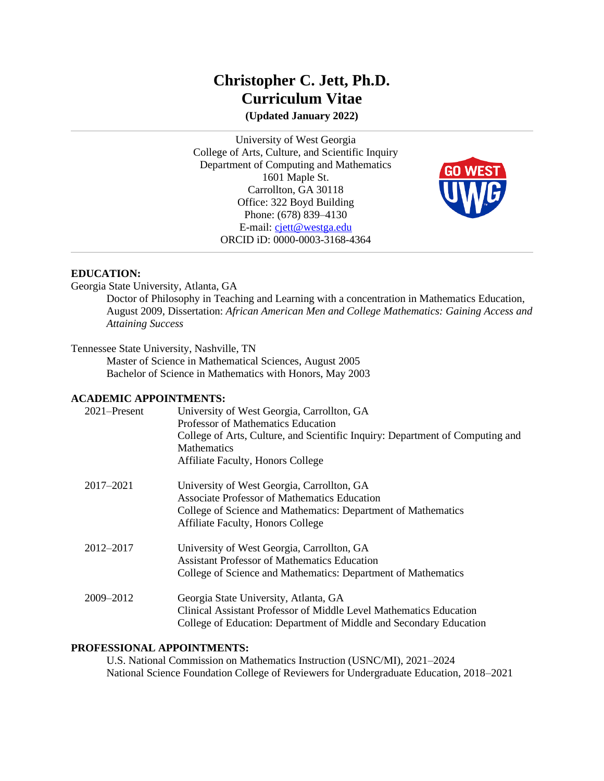# **Christopher C. Jett, Ph.D. Curriculum Vitae**

**(Updated January 2022)**

University of West Georgia College of Arts, Culture, and Scientific Inquiry Department of Computing and Mathematics 1601 Maple St. Carrollton, GA 30118 Office: 322 Boyd Building Phone: (678) 839–4130 E-mail: [cjett@westga.edu](mailto:cjett@westga.edu) ORCID iD: 0000-0003-3168-4364



# **EDUCATION:**

Georgia State University, Atlanta, GA

Doctor of Philosophy in Teaching and Learning with a concentration in Mathematics Education, August 2009, Dissertation: *African American Men and College Mathematics: Gaining Access and Attaining Success*

Tennessee State University, Nashville, TN

Master of Science in Mathematical Sciences, August 2005 Bachelor of Science in Mathematics with Honors, May 2003

# **ACADEMIC APPOINTMENTS:**

| $2021 -$ Present | University of West Georgia, Carrollton, GA<br><b>Professor of Mathematics Education</b><br>College of Arts, Culture, and Scientific Inquiry: Department of Computing and<br><b>Mathematics</b><br><b>Affiliate Faculty, Honors College</b> |
|------------------|--------------------------------------------------------------------------------------------------------------------------------------------------------------------------------------------------------------------------------------------|
| $2017 - 2021$    | University of West Georgia, Carrollton, GA<br>Associate Professor of Mathematics Education<br>College of Science and Mathematics: Department of Mathematics<br><b>Affiliate Faculty, Honors College</b>                                    |
| 2012–2017        | University of West Georgia, Carrollton, GA<br>Assistant Professor of Mathematics Education<br>College of Science and Mathematics: Department of Mathematics                                                                                |
| 2009–2012        | Georgia State University, Atlanta, GA<br>Clinical Assistant Professor of Middle Level Mathematics Education<br>College of Education: Department of Middle and Secondary Education                                                          |

# **PROFESSIONAL APPOINTMENTS:**

U.S. National Commission on Mathematics Instruction (USNC/MI), 2021–2024 National Science Foundation College of Reviewers for Undergraduate Education, 2018–2021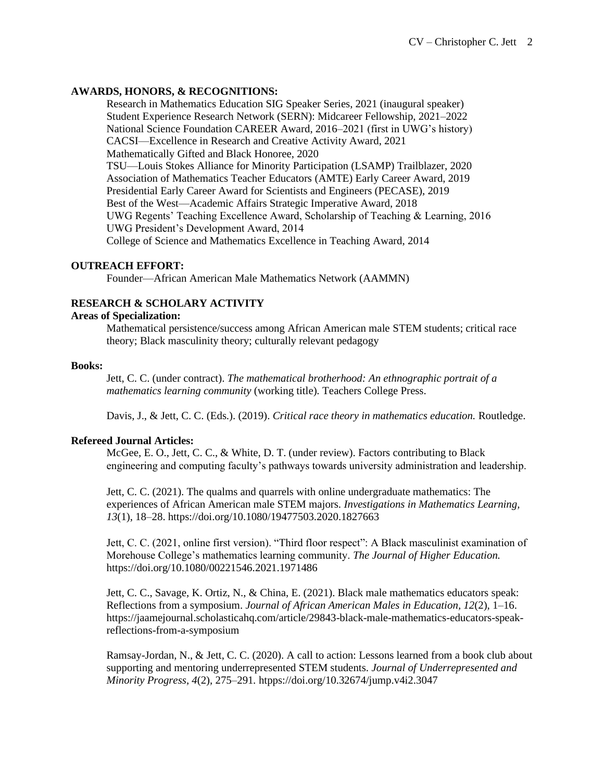# **AWARDS, HONORS, & RECOGNITIONS:**

Research in Mathematics Education SIG Speaker Series, 2021 (inaugural speaker) Student Experience Research Network (SERN): Midcareer Fellowship, 2021–2022 National Science Foundation CAREER Award, 2016–2021 (first in UWG's history) CACSI—Excellence in Research and Creative Activity Award, 2021 Mathematically Gifted and Black Honoree, 2020 TSU—Louis Stokes Alliance for Minority Participation (LSAMP) Trailblazer, 2020 Association of Mathematics Teacher Educators (AMTE) Early Career Award, 2019 Presidential Early Career Award for Scientists and Engineers (PECASE), 2019 Best of the West—Academic Affairs Strategic Imperative Award, 2018 UWG Regents' Teaching Excellence Award, Scholarship of Teaching & Learning, 2016 UWG President's Development Award, 2014 College of Science and Mathematics Excellence in Teaching Award, 2014

# **OUTREACH EFFORT:**

Founder—African American Male Mathematics Network (AAMMN)

# **RESEARCH & SCHOLARY ACTIVITY**

#### **Areas of Specialization:**

Mathematical persistence/success among African American male STEM students; critical race theory; Black masculinity theory; culturally relevant pedagogy

#### **Books:**

Jett, C. C. (under contract). *The mathematical brotherhood: An ethnographic portrait of a mathematics learning community* (working title)*.* Teachers College Press.

Davis, J., & Jett, C. C. (Eds.). (2019). *Critical race theory in mathematics education.* Routledge.

#### **Refereed Journal Articles:**

McGee, E. O., Jett, C. C., & White, D. T. (under review). Factors contributing to Black engineering and computing faculty's pathways towards university administration and leadership.

Jett, C. C. (2021). The qualms and quarrels with online undergraduate mathematics: The experiences of African American male STEM majors. *Investigations in Mathematics Learning, 13*(1), 18–28. https:/[/doi.org/10.1080/19477503.2020.1827663](https://doi.org/10.1080/19477503.2020.1827663)

Jett, C. C. (2021, online first version). "Third floor respect": A Black masculinist examination of Morehouse College's mathematics learning community. *The Journal of Higher Education.* https://doi.org/10.1080/00221546.2021.1971486

Jett, C. C., Savage, K. Ortiz, N., & China, E. (2021). Black male mathematics educators speak: Reflections from a symposium. *Journal of African American Males in Education, 12*(2), 1–16. https://jaamejournal.scholasticahq.com/article/29843-black-male-mathematics-educators-speakreflections-from-a-symposium

Ramsay-Jordan, N., & Jett, C. C. (2020). A call to action: Lessons learned from a book club about supporting and mentoring underrepresented STEM students. *Journal of Underrepresented and Minority Progress, 4*(2), 275–291*.* htpps:/[/doi.org/10.32674/jump.v4i2.3047](https://doi.org/10.32674/jump.v4i2.3047)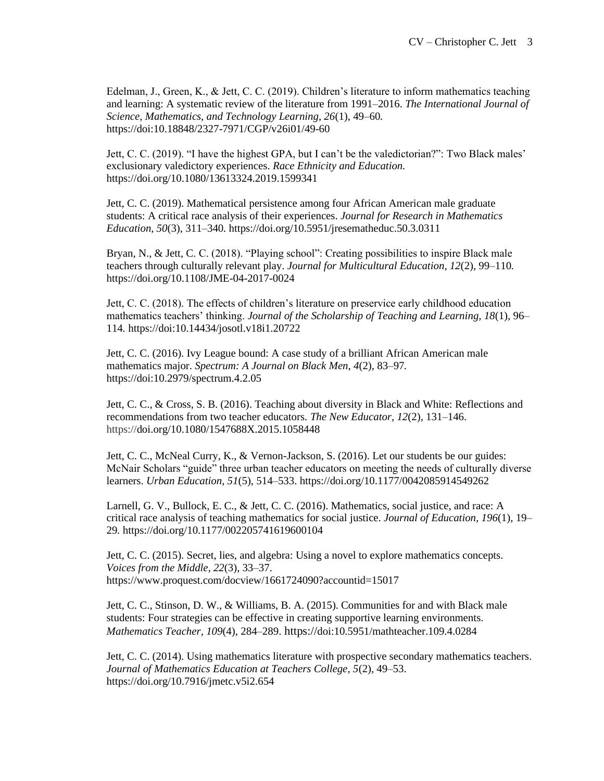Edelman, J., Green, K., & Jett, C. C. (2019). Children's literature to inform mathematics teaching and learning: A systematic review of the literature from 1991–2016. *The International Journal of Science, Mathematics, and Technology Learning, 26*(1), 49–60*.* https://doi:10.18848/2327-7971/CGP/v26i01/49-60

Jett, C. C. (2019). "I have the highest GPA, but I can't be the valedictorian?": Two Black males' exclusionary valedictory experiences. *Race Ethnicity and Education.*  https://doi.org/10.1080/13613324.2019.1599341

Jett, C. C. (2019). Mathematical persistence among four African American male graduate students: A critical race analysis of their experiences. *Journal for Research in Mathematics Education, 50*(3), 311–340*.* https:/[/doi.org/10.5951/jresematheduc.50.3.0311](https://doi.org/10.5951/jresematheduc.50.3.0311)

Bryan, N., & Jett, C. C. (2018). "Playing school": Creating possibilities to inspire Black male teachers through culturally relevant play. *Journal for Multicultural Education, 12*(2), 99–110*.*  https:/[/doi.org/10.1108/JME-04-2017-0024](https://doi.org/10.1108/JME-04-2017-0024)

Jett, C. C. (2018). The effects of children's literature on preservice early childhood education mathematics teachers' thinking. *Journal of the Scholarship of Teaching and Learning, 18*(1), 96– 114*.* https://doi:10.14434/josotl.v18i1.20722

Jett, C. C. (2016). Ivy League bound: A case study of a brilliant African American male mathematics major. *Spectrum: A Journal on Black Men, 4*(2), 83–97*.* https://doi:10.2979/spectrum.4.2.05

Jett, C. C., & Cross, S. B. (2016). Teaching about diversity in Black and White: Reflections and recommendations from two teacher educators. *The New Educator, 12*(2), 131–146. https:/[/doi.org/10.1080/1547688X.2015.1058448](https://doi.org/10.1080/1547688X.2015.1058448)

Jett, C. C., McNeal Curry, K., & Vernon-Jackson, S. (2016). Let our students be our guides: McNair Scholars "guide" three urban teacher educators on meeting the needs of culturally diverse learners. *Urban Education*, *51*(5), 514–533. https:/[/doi.org/10.1177/0042085914549262](https://doi.org/10.1177%2F0042085914549262)

Larnell, G. V., Bullock, E. C., & Jett, C. C. (2016). Mathematics, social justice, and race: A critical race analysis of teaching mathematics for social justice. *Journal of Education, 196*(1), 19– 29*.* https:/[/doi.org/10.1177/002205741619600104](https://doi.org/10.1177%2F002205741619600104)

Jett, C. C. (2015). Secret, lies, and algebra: Using a novel to explore mathematics concepts. *Voices from the Middle, 22*(3), 33–37. https://www.proquest.com/docview/1661724090?accountid=15017

Jett, C. C., Stinson, D. W., & Williams, B. A. (2015). Communities for and with Black male students: Four strategies can be effective in creating supportive learning environments. *Mathematics Teacher, 109*(4), 284–289. https://doi:10.5951/mathteacher.109.4.0284

Jett, C. C. (2014). Using mathematics literature with prospective secondary mathematics teachers. *Journal of Mathematics Education at Teachers College, 5*(2), 49–53. https:/[/doi.org/10.7916/jmetc.v5i2.654](https://doi.org/10.7916/jmetc.v5i2.654)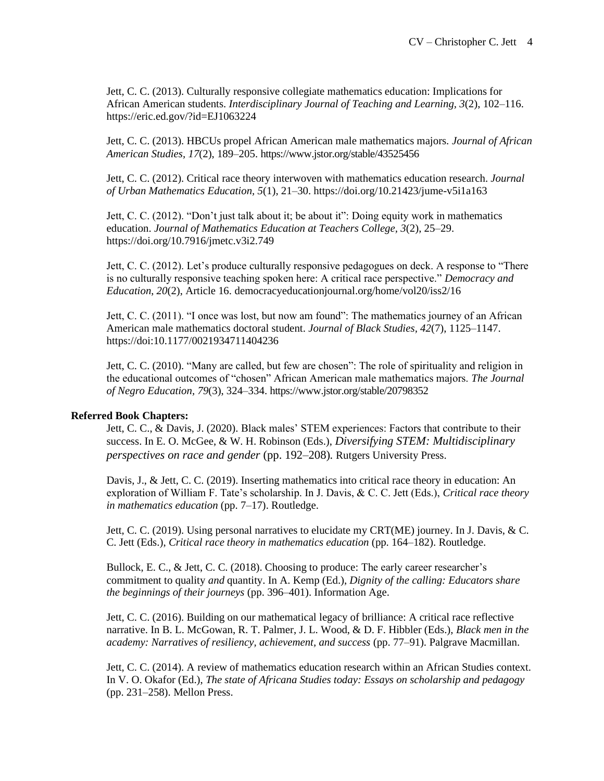Jett, C. C. (2013). Culturally responsive collegiate mathematics education: Implications for African American students. *Interdisciplinary Journal of Teaching and Learning, 3*(2), 102–116. <https://eric.ed.gov/?id=EJ1063224>

Jett, C. C. (2013). HBCUs propel African American male mathematics majors. *Journal of African American Studies, 17*(2), 189–205. https://www.jstor.org/stable/43525456

Jett, C. C. (2012). Critical race theory interwoven with mathematics education research. *Journal of Urban Mathematics Education, 5*(1), 21–30. https:/[/doi.org/10.21423/jume-v5i1a163](https://doi.org/10.21423/jume-v5i1a163)

Jett, C. C. (2012). "Don't just talk about it; be about it": Doing equity work in mathematics education. *Journal of Mathematics Education at Teachers College, 3*(2), 25–29. https:/[/doi.org/10.7916/jmetc.v3i2.749](https://doi.org/10.7916/jmetc.v3i2.749)

Jett, C. C. (2012). Let's produce culturally responsive pedagogues on deck. A response to "There is no culturally responsive teaching spoken here: A critical race perspective." *Democracy and Education*, *20*(2), Article 16. democracyeducationjournal.org/home/vol20/iss2/16

Jett, C. C. (2011). "I once was lost, but now am found": The mathematics journey of an African American male mathematics doctoral student. *Journal of Black Studies, 42*(7), 1125–1147. https://doi:10.1177/0021934711404236

Jett, C. C. (2010). "Many are called, but few are chosen": The role of spirituality and religion in the educational outcomes of "chosen" African American male mathematics majors. *The Journal of Negro Education, 79*(3), 324–334. https://www.jstor.org/stable/20798352

#### **Referred Book Chapters:**

Jett, C. C., & Davis, J. (2020). Black males' STEM experiences: Factors that contribute to their success. In E. O. McGee, & W. H. Robinson (Eds.), *Diversifying STEM: Multidisciplinary perspectives on race and gender* (pp. 192–208)*.* Rutgers University Press.

Davis, J., & Jett, C. C. (2019). Inserting mathematics into critical race theory in education: An exploration of William F. Tate's scholarship. In J. Davis, & C. C. Jett (Eds.), *Critical race theory in mathematics education* (pp. 7–17). Routledge.

Jett, C. C. (2019). Using personal narratives to elucidate my CRT(ME) journey. In J. Davis,  $& C$ . C. Jett (Eds.), *Critical race theory in mathematics education* (pp. 164–182). Routledge.

Bullock, E. C., & Jett, C. C. (2018). Choosing to produce: The early career researcher's commitment to quality *and* quantity. In A. Kemp (Ed.), *Dignity of the calling: Educators share the beginnings of their journeys* (pp. 396–401). Information Age.

Jett, C. C. (2016). Building on our mathematical legacy of brilliance: A critical race reflective narrative. In B. L. McGowan, R. T. Palmer, J. L. Wood, & D. F. Hibbler (Eds.), *Black men in the academy: Narratives of resiliency, achievement, and success* (pp. 77–91)*.* Palgrave Macmillan.

Jett, C. C. (2014). A review of mathematics education research within an African Studies context. In V. O. Okafor (Ed.), *The state of Africana Studies today: Essays on scholarship and pedagogy* (pp. 231–258). Mellon Press.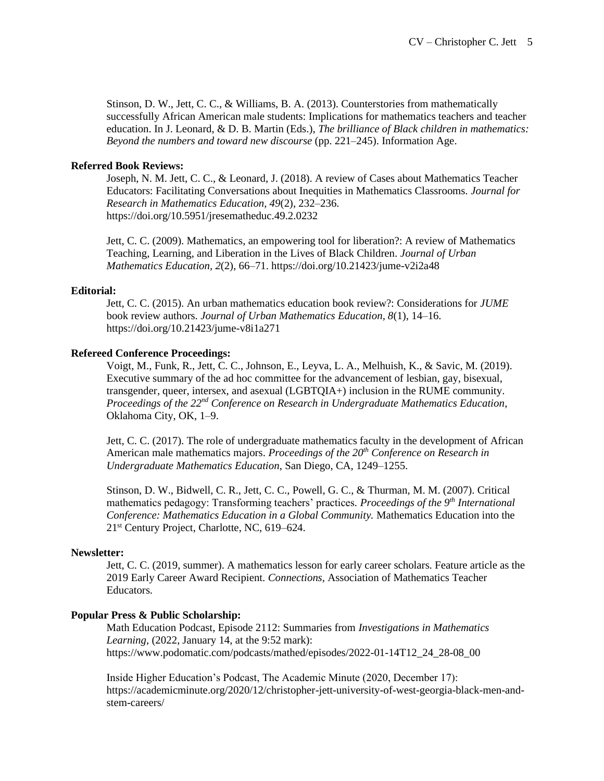Stinson, D. W., Jett, C. C., & Williams, B. A. (2013). Counterstories from mathematically successfully African American male students: Implications for mathematics teachers and teacher education. In J. Leonard, & D. B. Martin (Eds.), *The brilliance of Black children in mathematics: Beyond the numbers and toward new discourse* (pp. 221–245). Information Age.

#### **Referred Book Reviews:**

Joseph, N. M. Jett, C. C., & Leonard, J. (2018). A review of Cases about Mathematics Teacher Educators: Facilitating Conversations about Inequities in Mathematics Classrooms. *Journal for Research in Mathematics Education, 49*(2), 232–236. https:/[/doi.org/10.5951/jresematheduc.49.2.0232](https://doi.org/10.5951/jresematheduc.49.2.0232) 

Jett, C. C. (2009). Mathematics, an empowering tool for liberation?: A review of Mathematics Teaching, Learning, and Liberation in the Lives of Black Children. *Journal of Urban Mathematics Education, 2*(2), 66–71. https:/[/doi.org/10.21423/jume-v2i2a48](https://doi.org/10.21423/jume-v2i2a48)

#### **Editorial:**

Jett, C. C. (2015). An urban mathematics education book review?: Considerations for *JUME* book review authors. *Journal of Urban Mathematics Education, 8*(1), 14–16. https:/[/doi.org/10.21423/jume-v8i1a271](https://doi.org/10.21423/jume-v8i1a271)

#### **Refereed Conference Proceedings:**

Voigt, M., Funk, R., Jett, C. C., Johnson, E., Leyva, L. A., Melhuish, K., & Savic, M. (2019). Executive summary of the ad hoc committee for the advancement of lesbian, gay, bisexual, transgender, queer, intersex, and asexual (LGBTQIA+) inclusion in the RUME community. *Proceedings of the 22nd Conference on Research in Undergraduate Mathematics Education*, Oklahoma City, OK, 1–9.

Jett, C. C. (2017). The role of undergraduate mathematics faculty in the development of African American male mathematics majors. *Proceedings of the 20th Conference on Research in Undergraduate Mathematics Education*, San Diego, CA, 1249–1255.

Stinson, D. W., Bidwell, C. R., Jett, C. C., Powell, G. C., & Thurman, M. M. (2007). Critical mathematics pedagogy: Transforming teachers' practices*. Proceedings of the 9th International Conference: Mathematics Education in a Global Community.* Mathematics Education into the 21st Century Project, Charlotte, NC, 619–624.

#### **Newsletter:**

Jett, C. C. (2019, summer). A mathematics lesson for early career scholars. Feature article as the 2019 Early Career Award Recipient. *Connections,* Association of Mathematics Teacher Educators.

#### **Popular Press & Public Scholarship:**

Math Education Podcast, Episode 2112: Summaries from *Investigations in Mathematics Learning*, (2022, January 14, at the 9:52 mark): [https://www.podomatic.com/podcasts/mathed/episodes/2022-01-14T12\\_24\\_28-08\\_00](https://www.podomatic.com/podcasts/mathed/episodes/2022-01-14T12_24_28-08_00)

Inside Higher Education's Podcast, The Academic Minute (2020, December 17): https://academicminute.org/2020/12/christopher-jett-university-of-west-georgia-black-men-andstem-careers/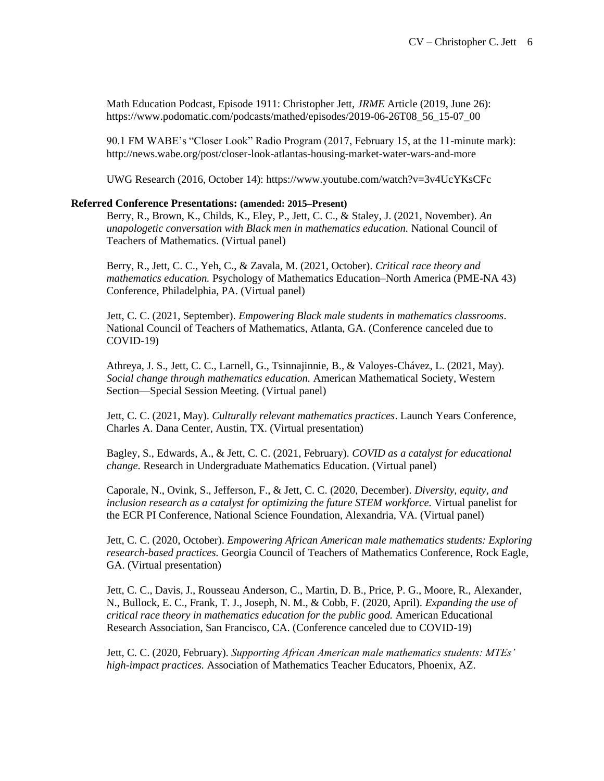Math Education Podcast, Episode 1911: Christopher Jett, *JRME* Article (2019, June 26): [https://www.podomatic.com/podcasts/mathed/episodes/2019-06-26T08\\_56\\_15-07\\_00](https://www.podomatic.com/podcasts/mathed/episodes/2019-06-26T08_56_15-07_00)

90.1 FM WABE's "Closer Look" Radio Program (2017, February 15, at the 11-minute mark): <http://news.wabe.org/post/closer-look-atlantas-housing-market-water-wars-and-more>

UWG Research (2016, October 14): https://www.youtube.com/watch?v=3v4UcYKsCFc

#### **Referred Conference Presentations: (amended: 2015–Present)**

Berry, R., Brown, K., Childs, K., Eley, P., Jett, C. C., & Staley, J. (2021, November). *An unapologetic conversation with Black men in mathematics education.* National Council of Teachers of Mathematics. (Virtual panel)

Berry, R., Jett, C. C., Yeh, C., & Zavala, M. (2021, October). *Critical race theory and mathematics education.* Psychology of Mathematics Education–North America (PME-NA 43) Conference, Philadelphia, PA. (Virtual panel)

Jett, C. C. (2021, September). *Empowering Black male students in mathematics classrooms*. National Council of Teachers of Mathematics, Atlanta, GA. (Conference canceled due to COVID-19)

Athreya, J. S., Jett, C. C., Larnell, G., Tsinnajinnie, B., & Valoyes-Chávez, L. (2021, May). *Social change through mathematics education.* American Mathematical Society, Western Section—Special Session Meeting. (Virtual panel)

Jett, C. C. (2021, May). *Culturally relevant mathematics practices*. Launch Years Conference, Charles A. Dana Center, Austin, TX. (Virtual presentation)

Bagley, S., Edwards, A., & Jett, C. C. (2021, February). *COVID as a catalyst for educational change.* Research in Undergraduate Mathematics Education. (Virtual panel)

Caporale, N., Ovink, S., Jefferson, F., & Jett, C. C. (2020, December). *Diversity, equity, and inclusion research as a catalyst for optimizing the future STEM workforce.* Virtual panelist for the ECR PI Conference, National Science Foundation, Alexandria, VA. (Virtual panel)

Jett, C. C. (2020, October). *Empowering African American male mathematics students: Exploring research-based practices.* Georgia Council of Teachers of Mathematics Conference, Rock Eagle, GA. (Virtual presentation)

Jett, C. C., Davis, J., Rousseau Anderson, C., Martin, D. B., Price, P. G., Moore, R., Alexander, N., Bullock, E. C., Frank, T. J., Joseph, N. M., & Cobb, F. (2020, April). *Expanding the use of critical race theory in mathematics education for the public good.* American Educational Research Association, San Francisco, CA. (Conference canceled due to COVID-19)

Jett, C. C. (2020, February). *Supporting African American male mathematics students: MTEs' high-impact practices.* Association of Mathematics Teacher Educators, Phoenix, AZ.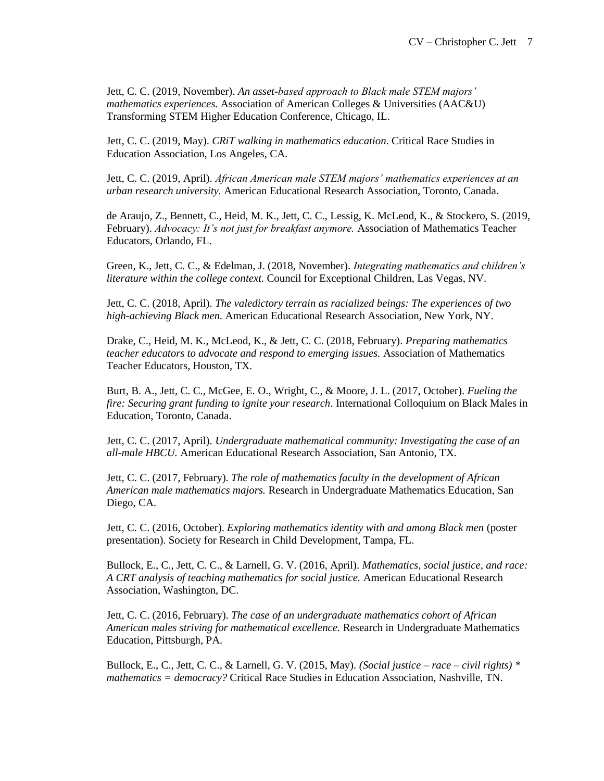Jett, C. C. (2019, November). *An asset-based approach to Black male STEM majors' mathematics experiences.* Association of American Colleges & Universities (AAC&U) Transforming STEM Higher Education Conference, Chicago, IL.

Jett, C. C. (2019, May). *CRiT walking in mathematics education*. Critical Race Studies in Education Association, Los Angeles, CA.

Jett, C. C. (2019, April). *African American male STEM majors' mathematics experiences at an urban research university.* American Educational Research Association, Toronto, Canada.

de Araujo, Z., Bennett, C., Heid, M. K., Jett, C. C., Lessig, K. McLeod, K., & Stockero, S. (2019, February). *Advocacy: It's not just for breakfast anymore.* Association of Mathematics Teacher Educators, Orlando, FL.

Green, K., Jett, C. C., & Edelman, J. (2018, November). *Integrating mathematics and children's literature within the college context.* Council for Exceptional Children, Las Vegas, NV.

Jett, C. C. (2018, April). *The valedictory terrain as racialized beings: The experiences of two high-achieving Black men.* American Educational Research Association, New York, NY.

Drake, C., Heid, M. K., McLeod, K., & Jett, C. C. (2018, February). *Preparing mathematics teacher educators to advocate and respond to emerging issues.* Association of Mathematics Teacher Educators, Houston, TX.

Burt, B. A., Jett, C. C., McGee, E. O., Wright, C., & Moore, J. L. (2017, October). *Fueling the fire: Securing grant funding to ignite your research*. International Colloquium on Black Males in Education, Toronto, Canada.

Jett, C. C. (2017, April). *Undergraduate mathematical community: Investigating the case of an all-male HBCU.* American Educational Research Association, San Antonio, TX.

Jett, C. C. (2017, February). *The role of mathematics faculty in the development of African American male mathematics majors.* Research in Undergraduate Mathematics Education, San Diego, CA.

Jett, C. C. (2016, October). *Exploring mathematics identity with and among Black men* (poster presentation). Society for Research in Child Development, Tampa, FL.

Bullock, E., C., Jett, C. C., & Larnell, G. V. (2016, April). *Mathematics, social justice, and race: A CRT analysis of teaching mathematics for social justice.* American Educational Research Association, Washington, DC.

Jett, C. C. (2016, February). *The case of an undergraduate mathematics cohort of African American males striving for mathematical excellence.* Research in Undergraduate Mathematics Education, Pittsburgh, PA.

Bullock, E., C., Jett, C. C., & Larnell, G. V. (2015, May). *(Social justice – race – civil rights) \* mathematics = democracy?* Critical Race Studies in Education Association, Nashville, TN.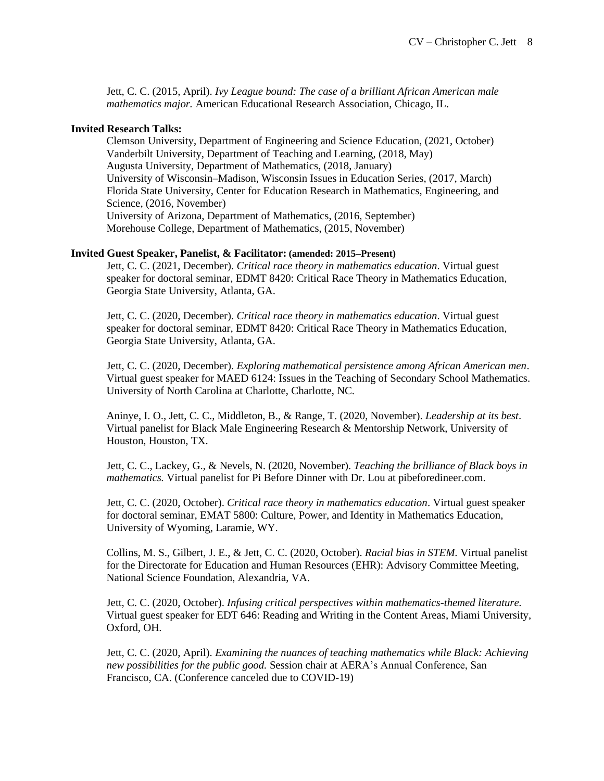Jett, C. C. (2015, April). *Ivy League bound: The case of a brilliant African American male mathematics major.* American Educational Research Association, Chicago, IL.

#### **Invited Research Talks:**

Clemson University, Department of Engineering and Science Education, (2021, October) Vanderbilt University, Department of Teaching and Learning, (2018, May) Augusta University, Department of Mathematics, (2018, January) University of Wisconsin–Madison, Wisconsin Issues in Education Series, (2017, March) Florida State University, Center for Education Research in Mathematics, Engineering, and Science, (2016, November) University of Arizona, Department of Mathematics, (2016, September) Morehouse College, Department of Mathematics, (2015, November)

#### **Invited Guest Speaker, Panelist, & Facilitator: (amended: 2015–Present)**

Jett, C. C. (2021, December). *Critical race theory in mathematics education*. Virtual guest speaker for doctoral seminar, EDMT 8420: Critical Race Theory in Mathematics Education, Georgia State University, Atlanta, GA.

Jett, C. C. (2020, December). *Critical race theory in mathematics education*. Virtual guest speaker for doctoral seminar, EDMT 8420: Critical Race Theory in Mathematics Education, Georgia State University, Atlanta, GA.

Jett, C. C. (2020, December). *Exploring mathematical persistence among African American men*. Virtual guest speaker for MAED 6124: Issues in the Teaching of Secondary School Mathematics. University of North Carolina at Charlotte, Charlotte, NC.

Aninye, I. O., Jett, C. C., Middleton, B., & Range, T. (2020, November). *Leadership at its best*. Virtual panelist for Black Male Engineering Research & Mentorship Network, University of Houston, Houston, TX.

Jett, C. C., Lackey, G., & Nevels, N. (2020, November). *Teaching the brilliance of Black boys in mathematics.* Virtual panelist for Pi Before Dinner with Dr. Lou at pibeforedineer.com.

Jett, C. C. (2020, October). *Critical race theory in mathematics education*. Virtual guest speaker for doctoral seminar, EMAT 5800: Culture, Power, and Identity in Mathematics Education, University of Wyoming, Laramie, WY.

Collins, M. S., Gilbert, J. E., & Jett, C. C. (2020, October). *Racial bias in STEM.* Virtual panelist for the Directorate for Education and Human Resources (EHR): Advisory Committee Meeting, National Science Foundation, Alexandria, VA.

Jett, C. C. (2020, October). *Infusing critical perspectives within mathematics-themed literature.* Virtual guest speaker for EDT 646: Reading and Writing in the Content Areas, Miami University, Oxford, OH.

Jett, C. C. (2020, April). *Examining the nuances of teaching mathematics while Black: Achieving new possibilities for the public good.* Session chair at AERA's Annual Conference, San Francisco, CA. (Conference canceled due to COVID-19)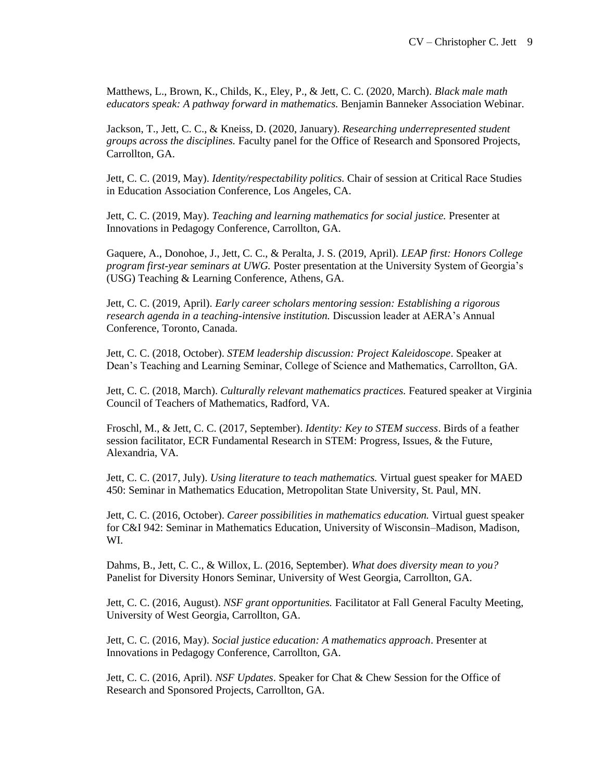Matthews, L., Brown, K., Childs, K., Eley, P., & Jett, C. C. (2020, March). *Black male math educators speak: A pathway forward in mathematics.* Benjamin Banneker Association Webinar.

Jackson, T., Jett, C. C., & Kneiss, D. (2020, January). *Researching underrepresented student groups across the disciplines.* Faculty panel for the Office of Research and Sponsored Projects, Carrollton, GA.

Jett, C. C. (2019, May). *Identity/respectability politics.* Chair of session at Critical Race Studies in Education Association Conference, Los Angeles, CA.

Jett, C. C. (2019, May). *Teaching and learning mathematics for social justice.* Presenter at Innovations in Pedagogy Conference, Carrollton, GA.

Gaquere, A., Donohoe, J., Jett, C. C., & Peralta, J. S. (2019, April). *LEAP first: Honors College program first-year seminars at UWG.* Poster presentation at the University System of Georgia's (USG) Teaching & Learning Conference, Athens, GA.

Jett, C. C. (2019, April). *Early career scholars mentoring session: Establishing a rigorous research agenda in a teaching-intensive institution.* Discussion leader at AERA's Annual Conference, Toronto, Canada.

Jett, C. C. (2018, October). *STEM leadership discussion: Project Kaleidoscope*. Speaker at Dean's Teaching and Learning Seminar, College of Science and Mathematics, Carrollton, GA.

Jett, C. C. (2018, March). *Culturally relevant mathematics practices.* Featured speaker at Virginia Council of Teachers of Mathematics, Radford, VA.

Froschl, M., & Jett, C. C. (2017, September). *Identity: Key to STEM success*. Birds of a feather session facilitator, ECR Fundamental Research in STEM: Progress, Issues, & the Future, Alexandria, VA.

Jett, C. C. (2017, July). *Using literature to teach mathematics.* Virtual guest speaker for MAED 450: Seminar in Mathematics Education, Metropolitan State University, St. Paul, MN.

Jett, C. C. (2016, October). *Career possibilities in mathematics education.* Virtual guest speaker for C&I 942: Seminar in Mathematics Education, University of Wisconsin–Madison, Madison, WI.

Dahms, B., Jett, C. C., & Willox, L. (2016, September). *What does diversity mean to you?*  Panelist for Diversity Honors Seminar, University of West Georgia, Carrollton, GA.

Jett, C. C. (2016, August). *NSF grant opportunities.* Facilitator at Fall General Faculty Meeting, University of West Georgia, Carrollton, GA.

Jett, C. C. (2016, May). *Social justice education: A mathematics approach*. Presenter at Innovations in Pedagogy Conference, Carrollton, GA.

Jett, C. C. (2016, April). *NSF Updates*. Speaker for Chat & Chew Session for the Office of Research and Sponsored Projects, Carrollton, GA.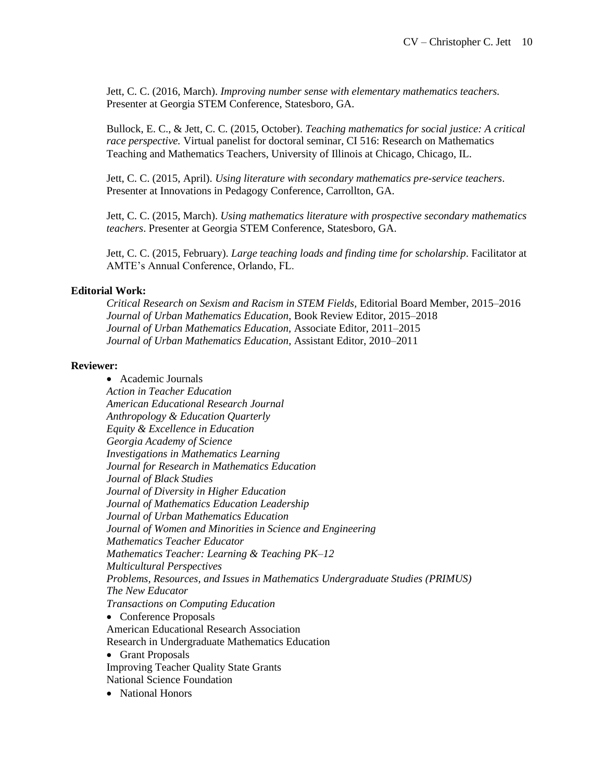Jett, C. C. (2016, March). *Improving number sense with elementary mathematics teachers.* Presenter at Georgia STEM Conference, Statesboro, GA.

Bullock, E. C., & Jett, C. C. (2015, October). *Teaching mathematics for social justice: A critical race perspective.* Virtual panelist for doctoral seminar, CI 516: Research on Mathematics Teaching and Mathematics Teachers, University of Illinois at Chicago, Chicago, IL.

Jett, C. C. (2015, April). *Using literature with secondary mathematics pre-service teachers*. Presenter at Innovations in Pedagogy Conference, Carrollton, GA.

Jett, C. C. (2015, March). *Using mathematics literature with prospective secondary mathematics teachers*. Presenter at Georgia STEM Conference, Statesboro, GA.

Jett, C. C. (2015, February). *Large teaching loads and finding time for scholarship*. Facilitator at AMTE's Annual Conference, Orlando, FL.

#### **Editorial Work:**

*Critical Research on Sexism and Racism in STEM Fields,* Editorial Board Member, 2015–2016 *Journal of Urban Mathematics Education*, Book Review Editor, 2015–2018 *Journal of Urban Mathematics Education,* Associate Editor, 2011–2015 *Journal of Urban Mathematics Education,* Assistant Editor, 2010–2011

# **Reviewer:**

• Academic Journals *Action in Teacher Education American Educational Research Journal Anthropology & Education Quarterly Equity & Excellence in Education Georgia Academy of Science Investigations in Mathematics Learning Journal for Research in Mathematics Education Journal of Black Studies Journal of Diversity in Higher Education Journal of Mathematics Education Leadership Journal of Urban Mathematics Education Journal of Women and Minorities in Science and Engineering Mathematics Teacher Educator Mathematics Teacher: Learning & Teaching PK–12 Multicultural Perspectives Problems, Resources, and Issues in Mathematics Undergraduate Studies (PRIMUS) The New Educator Transactions on Computing Education*  • Conference Proposals American Educational Research Association Research in Undergraduate Mathematics Education • Grant Proposals

Improving Teacher Quality State Grants

- National Science Foundation
- National Honors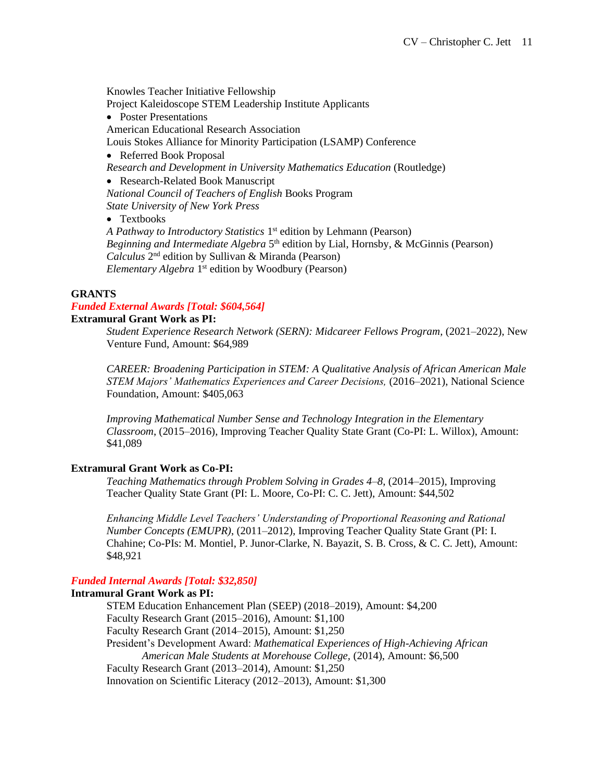Knowles Teacher Initiative Fellowship

Project Kaleidoscope STEM Leadership Institute Applicants

• Poster Presentations

American Educational Research Association

Louis Stokes Alliance for Minority Participation (LSAMP) Conference

• Referred Book Proposal

*Research and Development in University Mathematics Education* (Routledge)

• Research-Related Book Manuscript

*National Council of Teachers of English* Books Program *State University of New York Press* 

• Textbooks

A Pathway to Introductory Statistics 1<sup>st</sup> edition by Lehmann (Pearson) Beginning and Intermediate Algebra 5<sup>th</sup> edition by Lial, Hornsby, & McGinnis (Pearson) *Calculus* 2 nd edition by Sullivan & Miranda (Pearson) Elementary Algebra 1<sup>st</sup> edition by Woodbury (Pearson)

# **GRANTS**

# *Funded External Awards [Total: \$604,564]*

# **Extramural Grant Work as PI:**

*Student Experience Research Network (SERN): Midcareer Fellows Program,* (2021–2022), New Venture Fund, Amount: \$64,989

*CAREER: Broadening Participation in STEM: A Qualitative Analysis of African American Male STEM Majors' Mathematics Experiences and Career Decisions,* (2016–2021), National Science Foundation, Amount: \$405,063

*Improving Mathematical Number Sense and Technology Integration in the Elementary Classroom*, (2015–2016), Improving Teacher Quality State Grant (Co-PI: L. Willox), Amount: \$41,089

# **Extramural Grant Work as Co-PI:**

*Teaching Mathematics through Problem Solving in Grades 4–8*, (2014–2015), Improving Teacher Quality State Grant (PI: L. Moore, Co-PI: C. C. Jett), Amount: \$44,502

*Enhancing Middle Level Teachers' Understanding of Proportional Reasoning and Rational Number Concepts (EMUPR)*, (2011–2012), Improving Teacher Quality State Grant (PI: I. Chahine; Co-PIs: M. Montiel, P. Junor-Clarke, N. Bayazit, S. B. Cross, & C. C. Jett), Amount: \$48,921

# *Funded Internal Awards [Total: \$32,850]*

# **Intramural Grant Work as PI:**

STEM Education Enhancement Plan (SEEP) (2018–2019), Amount: \$4,200 Faculty Research Grant (2015–2016), Amount: \$1,100 Faculty Research Grant (2014–2015), Amount: \$1,250 President's Development Award: *Mathematical Experiences of High-Achieving African American Male Students at Morehouse College,* (2014), Amount: \$6,500 Faculty Research Grant (2013–2014), Amount: \$1,250 Innovation on Scientific Literacy (2012–2013), Amount: \$1,300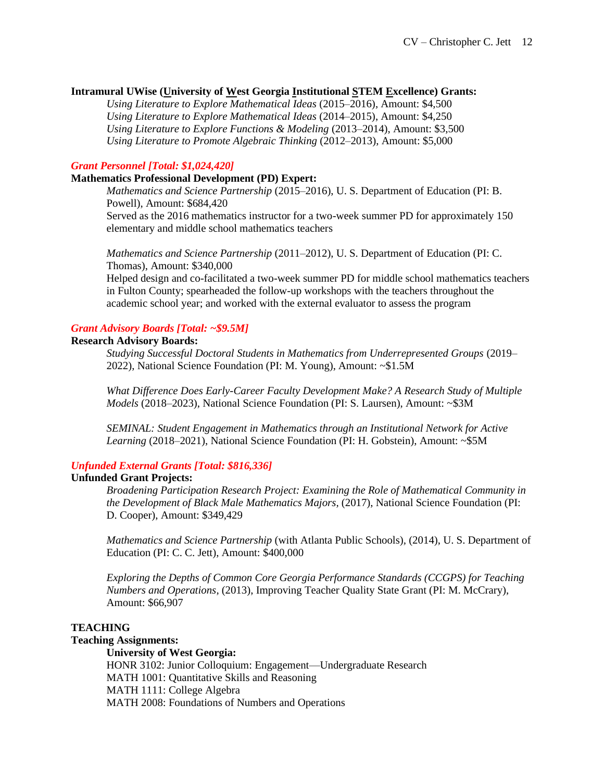#### **Intramural UWise (University of West Georgia Institutional STEM Excellence) Grants:**

*Using Literature to Explore Mathematical Ideas* (2015–2016), Amount: \$4,500 *Using Literature to Explore Mathematical Ideas* (2014–2015), Amount: \$4,250 *Using Literature to Explore Functions & Modeling* (2013–2014), Amount: \$3,500 *Using Literature to Promote Algebraic Thinking* (2012–2013), Amount: \$5,000

#### *Grant Personnel [Total: \$1,024,420]*

#### **Mathematics Professional Development (PD) Expert:**

*Mathematics and Science Partnership* (2015–2016), U. S. Department of Education (PI: B. Powell), Amount: \$684,420

Served as the 2016 mathematics instructor for a two-week summer PD for approximately 150 elementary and middle school mathematics teachers

*Mathematics and Science Partnership* (2011–2012), U. S. Department of Education (PI: C. Thomas), Amount: \$340,000

Helped design and co-facilitated a two-week summer PD for middle school mathematics teachers in Fulton County; spearheaded the follow-up workshops with the teachers throughout the academic school year; and worked with the external evaluator to assess the program

#### *Grant Advisory Boards [Total: ~\$9.5M]*

#### **Research Advisory Boards:**

*Studying Successful Doctoral Students in Mathematics from Underrepresented Groups* (2019– 2022), National Science Foundation (PI: M. Young), Amount: ~\$1.5M

*What Difference Does Early-Career Faculty Development Make? A Research Study of Multiple Models* (2018–2023), National Science Foundation (PI: S. Laursen), Amount: ~\$3M

*SEMINAL: Student Engagement in Mathematics through an Institutional Network for Active Learning* (2018–2021), National Science Foundation (PI: H. Gobstein), Amount: ~\$5M

#### *Unfunded External Grants [Total: \$816,336]*

#### **Unfunded Grant Projects:**

*Broadening Participation Research Project: Examining the Role of Mathematical Community in the Development of Black Male Mathematics Majors,* (2017), National Science Foundation (PI: D. Cooper), Amount: \$349,429

*Mathematics and Science Partnership* (with Atlanta Public Schools)*,* (2014), U. S. Department of Education (PI: C. C. Jett), Amount: \$400,000

*Exploring the Depths of Common Core Georgia Performance Standards (CCGPS) for Teaching Numbers and Operations*, (2013), Improving Teacher Quality State Grant (PI: M. McCrary), Amount: \$66,907

#### **TEACHING**

#### **Teaching Assignments:**

# **University of West Georgia:**

HONR 3102: Junior Colloquium: Engagement—Undergraduate Research MATH 1001: Quantitative Skills and Reasoning MATH 1111: College Algebra MATH 2008: Foundations of Numbers and Operations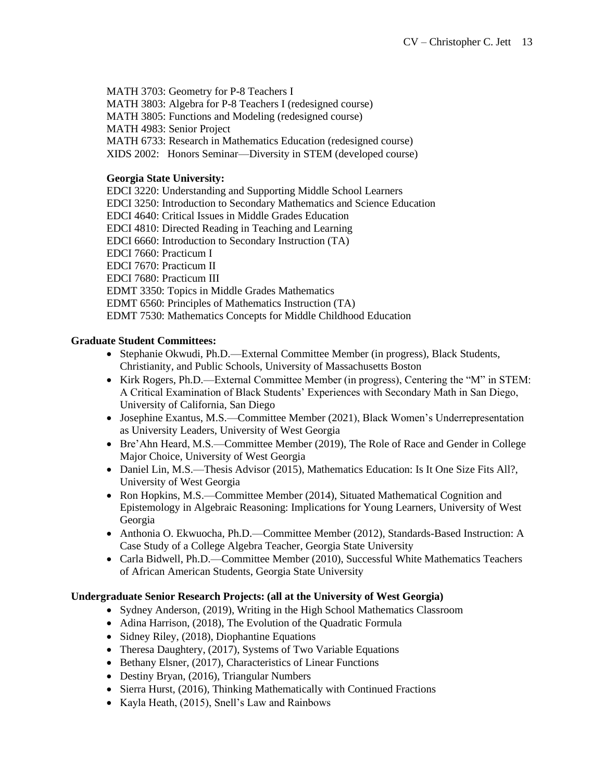MATH 3703: Geometry for P-8 Teachers I MATH 3803: Algebra for P-8 Teachers I (redesigned course) MATH 3805: Functions and Modeling (redesigned course) MATH 4983: Senior Project MATH 6733: Research in Mathematics Education (redesigned course) XIDS 2002: Honors Seminar—Diversity in STEM (developed course)

# **Georgia State University:**

EDCI 3220: Understanding and Supporting Middle School Learners EDCI 3250: Introduction to Secondary Mathematics and Science Education EDCI 4640: Critical Issues in Middle Grades Education EDCI 4810: Directed Reading in Teaching and Learning EDCI 6660: Introduction to Secondary Instruction (TA) EDCI 7660: Practicum I EDCI 7670: Practicum II EDCI 7680: Practicum III EDMT 3350: Topics in Middle Grades Mathematics EDMT 6560: Principles of Mathematics Instruction (TA) EDMT 7530: Mathematics Concepts for Middle Childhood Education

# **Graduate Student Committees:**

- Stephanie Okwudi, Ph.D.—External Committee Member (in progress), Black Students, Christianity, and Public Schools, University of Massachusetts Boston
- Kirk Rogers, Ph.D.—External Committee Member (in progress), Centering the "M" in STEM: A Critical Examination of Black Students' Experiences with Secondary Math in San Diego, University of California, San Diego
- Josephine Exantus, M.S.—Committee Member (2021), Black Women's Underrepresentation as University Leaders, University of West Georgia
- Bre'Ahn Heard, M.S.—Committee Member (2019), The Role of Race and Gender in College Major Choice, University of West Georgia
- Daniel Lin, M.S.—Thesis Advisor (2015), Mathematics Education: Is It One Size Fits All?, University of West Georgia
- Ron Hopkins, M.S.—Committee Member (2014), Situated Mathematical Cognition and Epistemology in Algebraic Reasoning: Implications for Young Learners, University of West Georgia
- Anthonia O. Ekwuocha, Ph.D.—Committee Member (2012), Standards-Based Instruction: A Case Study of a College Algebra Teacher, Georgia State University
- Carla Bidwell, Ph.D.—Committee Member (2010), Successful White Mathematics Teachers of African American Students, Georgia State University

# **Undergraduate Senior Research Projects: (all at the University of West Georgia)**

- Sydney Anderson, (2019), Writing in the High School Mathematics Classroom
- Adina Harrison, (2018), The Evolution of the Quadratic Formula
- Sidney Riley, (2018), Diophantine Equations
- Theresa Daughtery, (2017), Systems of Two Variable Equations
- Bethany Elsner, (2017), Characteristics of Linear Functions
- Destiny Bryan, (2016), Triangular Numbers
- Sierra Hurst, (2016), Thinking Mathematically with Continued Fractions
- Kayla Heath, (2015), Snell's Law and Rainbows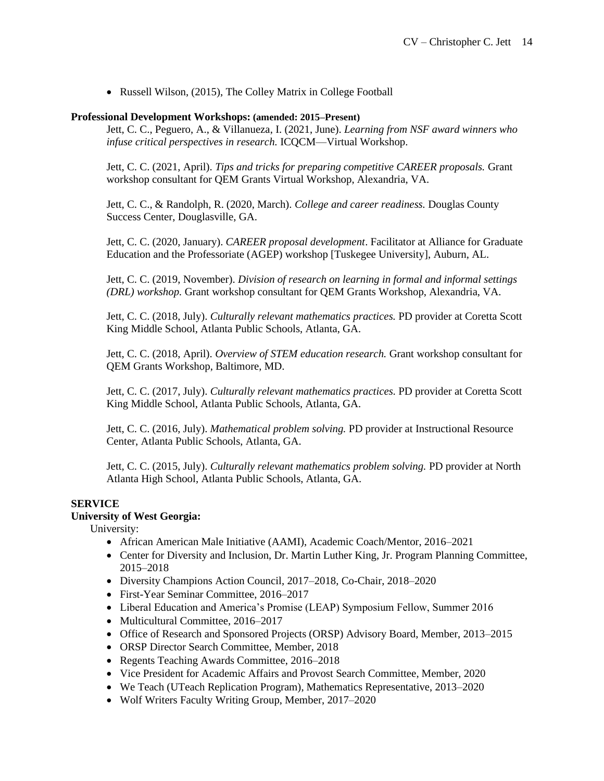• Russell Wilson, (2015), The Colley Matrix in College Football

# **Professional Development Workshops: (amended: 2015–Present)**

Jett, C. C., Peguero, A., & Villanueza, I. (2021, June). *Learning from NSF award winners who infuse critical perspectives in research.* **ICQCM—Virtual Workshop.** 

Jett, C. C. (2021, April). *Tips and tricks for preparing competitive CAREER proposals.* Grant workshop consultant for QEM Grants Virtual Workshop, Alexandria, VA.

Jett, C. C., & Randolph, R. (2020, March). *College and career readiness.* Douglas County Success Center, Douglasville, GA.

Jett, C. C. (2020, January). *CAREER proposal development*. Facilitator at Alliance for Graduate Education and the Professoriate (AGEP) workshop [Tuskegee University], Auburn, AL.

Jett, C. C. (2019, November). *Division of research on learning in formal and informal settings (DRL) workshop.* Grant workshop consultant for QEM Grants Workshop, Alexandria, VA.

Jett, C. C. (2018, July). *Culturally relevant mathematics practices.* PD provider at Coretta Scott King Middle School, Atlanta Public Schools, Atlanta, GA.

Jett, C. C. (2018, April). *Overview of STEM education research.* Grant workshop consultant for QEM Grants Workshop, Baltimore, MD.

Jett, C. C. (2017, July). *Culturally relevant mathematics practices.* PD provider at Coretta Scott King Middle School, Atlanta Public Schools, Atlanta, GA.

Jett, C. C. (2016, July). *Mathematical problem solving.* PD provider at Instructional Resource Center, Atlanta Public Schools, Atlanta, GA.

Jett, C. C. (2015, July). *Culturally relevant mathematics problem solving.* PD provider at North Atlanta High School, Atlanta Public Schools, Atlanta, GA.

# **SERVICE**

# **University of West Georgia:**

University:

- African American Male Initiative (AAMI), Academic Coach/Mentor, 2016–2021
- Center for Diversity and Inclusion, Dr. Martin Luther King, Jr. Program Planning Committee, 2015–2018
- Diversity Champions Action Council, 2017–2018, Co-Chair, 2018–2020
- First-Year Seminar Committee, 2016–2017
- Liberal Education and America's Promise (LEAP) Symposium Fellow, Summer 2016
- Multicultural Committee, 2016–2017
- Office of Research and Sponsored Projects (ORSP) Advisory Board, Member, 2013–2015
- ORSP Director Search Committee, Member, 2018
- Regents Teaching Awards Committee, 2016–2018
- Vice President for Academic Affairs and Provost Search Committee, Member, 2020
- We Teach (UTeach Replication Program), Mathematics Representative, 2013–2020
- Wolf Writers Faculty Writing Group, Member, 2017–2020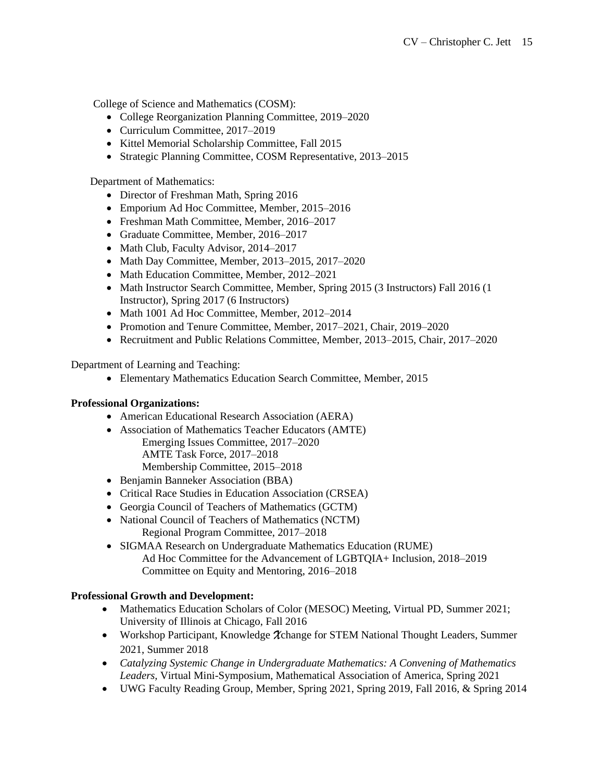College of Science and Mathematics (COSM):

- College Reorganization Planning Committee, 2019–2020
- Curriculum Committee, 2017–2019
- Kittel Memorial Scholarship Committee, Fall 2015
- Strategic Planning Committee, COSM Representative, 2013–2015

Department of Mathematics:

- Director of Freshman Math, Spring 2016
- Emporium Ad Hoc Committee, Member, 2015–2016
- Freshman Math Committee, Member, 2016–2017
- Graduate Committee, Member, 2016–2017
- Math Club, Faculty Advisor, 2014–2017
- Math Day Committee, Member, 2013–2015, 2017–2020
- Math Education Committee, Member, 2012–2021
- Math Instructor Search Committee, Member, Spring 2015 (3 Instructors) Fall 2016 (1 Instructor), Spring 2017 (6 Instructors)
- Math 1001 Ad Hoc Committee, Member, 2012–2014
- Promotion and Tenure Committee, Member, 2017–2021, Chair, 2019–2020
- Recruitment and Public Relations Committee, Member, 2013–2015, Chair, 2017–2020

Department of Learning and Teaching:

• Elementary Mathematics Education Search Committee, Member, 2015

# **Professional Organizations:**

- American Educational Research Association (AERA)
- Association of Mathematics Teacher Educators (AMTE) Emerging Issues Committee, 2017–2020 AMTE Task Force, 2017–2018 Membership Committee, 2015–2018
- Benjamin Banneker Association (BBA)
- Critical Race Studies in Education Association (CRSEA)
- Georgia Council of Teachers of Mathematics (GCTM)
- National Council of Teachers of Mathematics (NCTM) Regional Program Committee, 2017–2018
- SIGMAA Research on Undergraduate Mathematics Education (RUME) Ad Hoc Committee for the Advancement of LGBTQIA+ Inclusion, 2018–2019 Committee on Equity and Mentoring, 2016–2018

# **Professional Growth and Development:**

- Mathematics Education Scholars of Color (MESOC) Meeting, Virtual PD, Summer 2021; University of Illinois at Chicago, Fall 2016
- Workshop Participant, Knowledge *X*change for STEM National Thought Leaders, Summer 2021, Summer 2018
- *Catalyzing Systemic Change in Undergraduate Mathematics: A Convening of Mathematics Leaders,* Virtual Mini-Symposium, Mathematical Association of America, Spring 2021
- UWG Faculty Reading Group, Member, Spring 2021, Spring 2019, Fall 2016, & Spring 2014